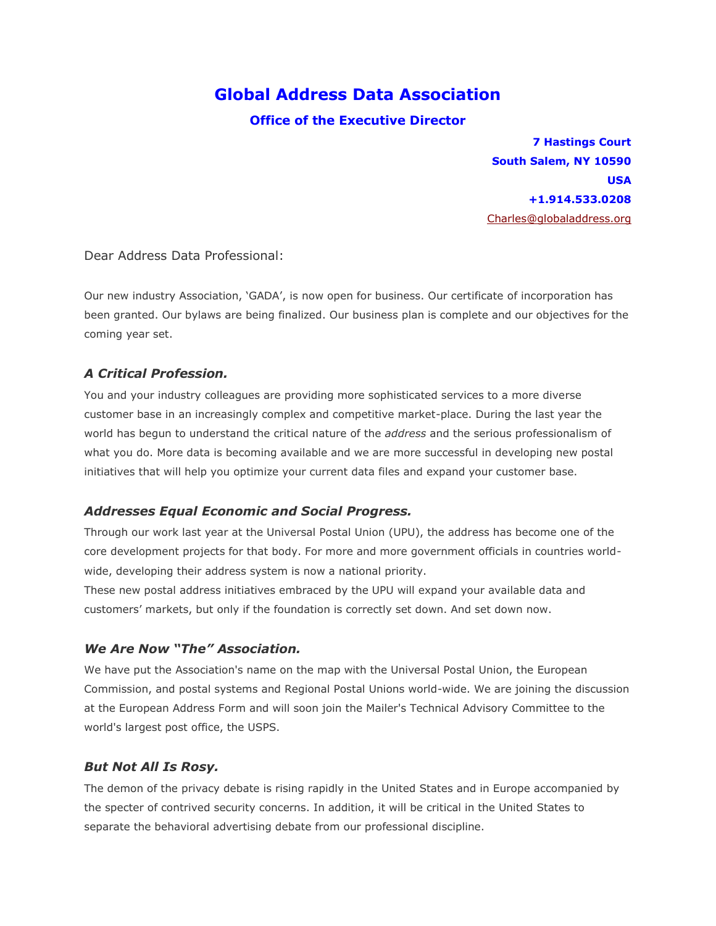# **Global Address Data Association**

#### **Office of the Executive Director**

**7 Hastings Court South Salem, NY 10590 USA +1.914.533.0208** [Charles@globaladdress.org](mailto:Charles@globaladdress.org)

Dear Address Data Professional:

Our new industry Association, "GADA", is now open for business. Our certificate of incorporation has been granted. Our bylaws are being finalized. Our business plan is complete and our objectives for the coming year set.

### *A Critical Profession.*

You and your industry colleagues are providing more sophisticated services to a more diverse customer base in an increasingly complex and competitive market-place. During the last year the world has begun to understand the critical nature of the *address* and the serious professionalism of what you do. More data is becoming available and we are more successful in developing new postal initiatives that will help you optimize your current data files and expand your customer base.

#### *Addresses Equal Economic and Social Progress.*

Through our work last year at the Universal Postal Union (UPU), the address has become one of the core development projects for that body. For more and more government officials in countries worldwide, developing their address system is now a national priority.

These new postal address initiatives embraced by the UPU will expand your available data and customers" markets, but only if the foundation is correctly set down. And set down now.

#### *We Are Now "The" Association.*

We have put the Association's name on the map with the Universal Postal Union, the European Commission, and postal systems and Regional Postal Unions world-wide. We are joining the discussion at the European Address Form and will soon join the Mailer's Technical Advisory Committee to the world's largest post office, the USPS.

#### *But Not All Is Rosy.*

The demon of the privacy debate is rising rapidly in the United States and in Europe accompanied by the specter of contrived security concerns. In addition, it will be critical in the United States to separate the behavioral advertising debate from our professional discipline.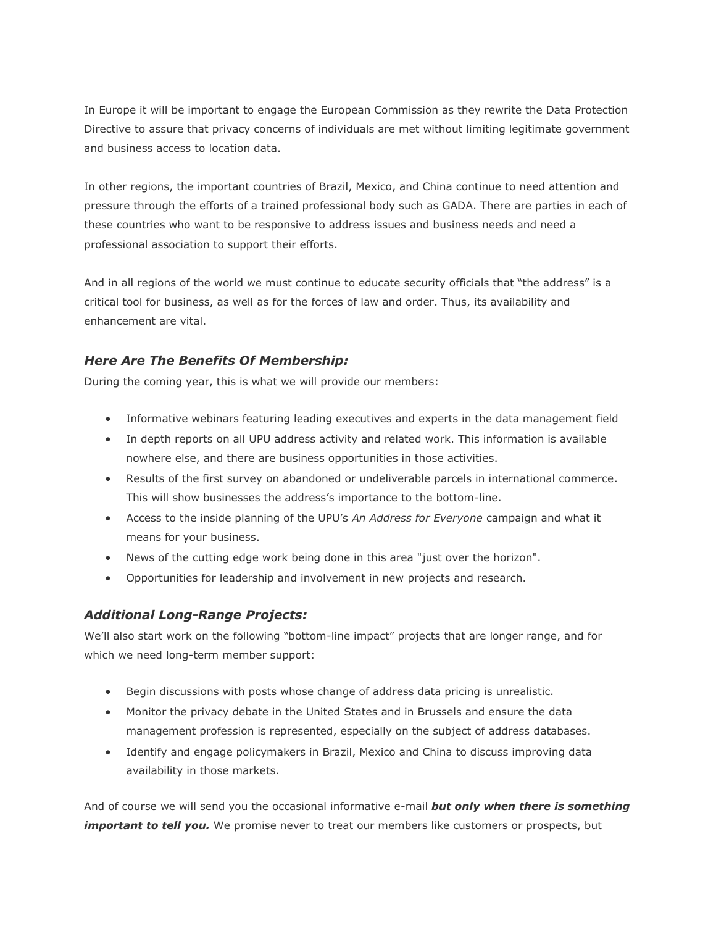In Europe it will be important to engage the European Commission as they rewrite the Data Protection Directive to assure that privacy concerns of individuals are met without limiting legitimate government and business access to location data.

In other regions, the important countries of Brazil, Mexico, and China continue to need attention and pressure through the efforts of a trained professional body such as GADA. There are parties in each of these countries who want to be responsive to address issues and business needs and need a professional association to support their efforts.

And in all regions of the world we must continue to educate security officials that "the address" is a critical tool for business, as well as for the forces of law and order. Thus, its availability and enhancement are vital.

## *Here Are The Benefits Of Membership:*

During the coming year, this is what we will provide our members:

- Informative webinars featuring leading executives and experts in the data management field
- In depth reports on all UPU address activity and related work. This information is available nowhere else, and there are business opportunities in those activities.
- Results of the first survey on abandoned or undeliverable parcels in international commerce. This will show businesses the address's importance to the bottom-line.
- Access to the inside planning of the UPU"s *An Address for Everyone* campaign and what it means for your business.
- News of the cutting edge work being done in this area "just over the horizon".
- Opportunities for leadership and involvement in new projects and research.

## *Additional Long-Range Projects:*

We"ll also start work on the following "bottom-line impact" projects that are longer range, and for which we need long-term member support:

- Begin discussions with posts whose change of address data pricing is unrealistic.
- Monitor the privacy debate in the United States and in Brussels and ensure the data management profession is represented, especially on the subject of address databases.
- Identify and engage policymakers in Brazil, Mexico and China to discuss improving data availability in those markets.

And of course we will send you the occasional informative e-mail *but only when there is something important to tell you.* We promise never to treat our members like customers or prospects, but